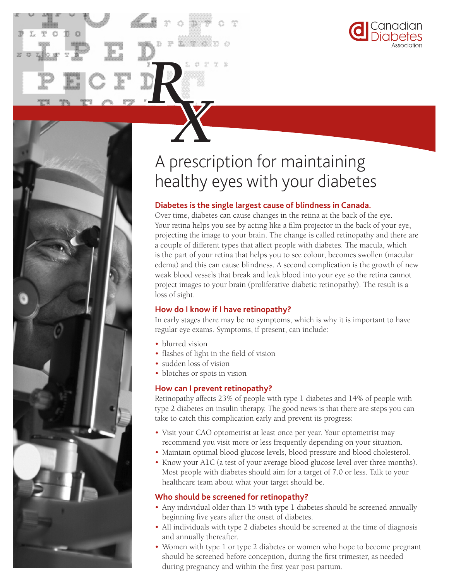



# A prescription for maintaining healthy eyes with your diabetes *X*

### **Diabetes is the single largest cause of blindness in Canada.**

Over time, diabetes can cause changes in the retina at the back of the eye. Your retina helps you see by acting like a film projector in the back of your eye, projecting the image to your brain. The change is called retinopathy and there are a couple of different types that affect people with diabetes. The macula, which is the part of your retina that helps you to see colour, becomes swollen (macular edema) and this can cause blindness. A second complication is the growth of new weak blood vessels that break and leak blood into your eye so the retina cannot project images to your brain (proliferative diabetic retinopathy). The result is a loss of sight.

### **How do I know if I have retinopathy?**

In early stages there may be no symptoms, which is why it is important to have regular eye exams. Symptoms, if present, can include:

• blurred vision

*R*

- flashes of light in the field of vision
- sudden loss of vision
- blotches or spots in vision

### **How can I prevent retinopathy?**

Retinopathy affects 23% of people with type 1 diabetes and 14% of people with type 2 diabetes on insulin therapy. The good news is that there are steps you can take to catch this complication early and prevent its progress:

- Visit your CAO optometrist at least once per year. Your optometrist may recommend you visit more or less frequently depending on your situation.
- Maintain optimal blood glucose levels, blood pressure and blood cholesterol.
- Know your A1C (a test of your average blood glucose level over three months). Most people with diabetes should aim for a target of 7.0 or less. Talk to your healthcare team about what your target should be.

### **Who should be screened for retinopathy?**

- Any individual older than 15 with type 1 diabetes should be screened annually beginning five years after the onset of diabetes.
- All individuals with type 2 diabetes should be screened at the time of diagnosis and annually thereafter.
- Women with type 1 or type 2 diabetes or women who hope to become pregnant should be screened before conception, during the first trimester, as needed during pregnancy and within the first year post partum.